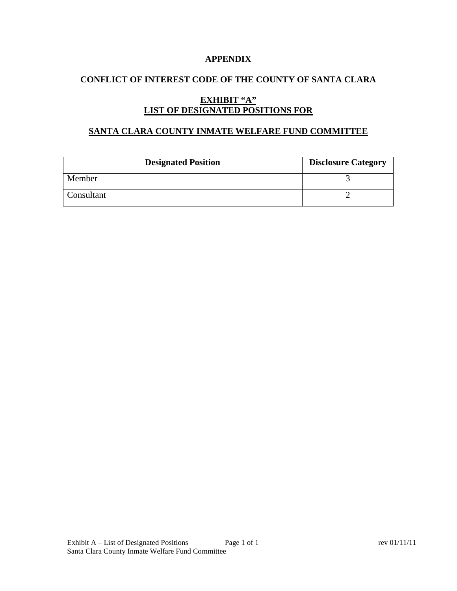### **APPENDIX**

# **CONFLICT OF INTEREST CODE OF THE COUNTY OF SANTA CLARA**

# **EXHIBIT "A" LIST OF DESIGNATED POSITIONS FOR**

### **SANTA CLARA COUNTY INMATE WELFARE FUND COMMITTEE**

| <b>Designated Position</b> | <b>Disclosure Category</b> |
|----------------------------|----------------------------|
| Member                     |                            |
| Consultant                 |                            |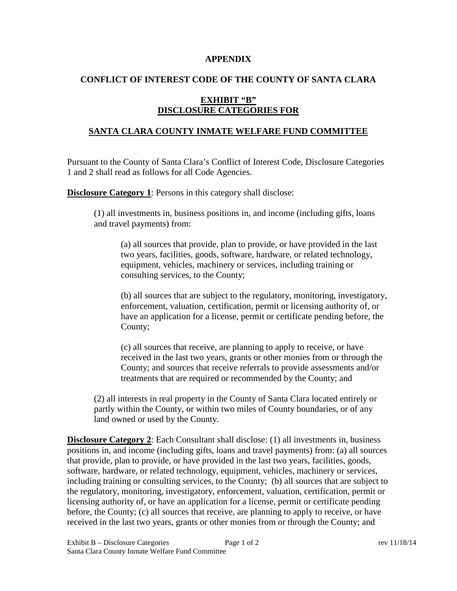#### **APPENDIX**

### **CONFLICT OF INTEREST CODE OF THE COUNTY OF SANTA CLARA**

# **EXHIBIT "B" DISCLOSURE CATEGORIES FOR**

### **SANTA CLARA COUNTY INMATE WELFARE FUND COMMITTEE**

Pursuant to the County of Santa Clara's Conflict of Interest Code, Disclosure Categories 1 and 2 shall read as follows for all Code Agencies.

**Disclosure Category 1:** Persons in this category shall disclose:

(1) all investments in, business positions in, and income (including gifts, loans and travel payments) from:

(a) all sources that provide, plan to provide, or have provided in the last two years, facilities, goods, software, hardware, or related technology, equipment, vehicles, machinery or services, including training or consulting services, to the County;

(b) all sources that are subject to the regulatory, monitoring, investigatory, enforcement, valuation, certification, permit or licensing authority of, or have an application for a license, permit or certificate pending before, the County;

(c) all sources that receive, are planning to apply to receive, or have received in the last two years, grants or other monies from or through the County; and sources that receive referrals to provide assessments and/or treatments that are required or recommended by the County; and

(2) all interests in real property in the County of Santa Clara located entirely or partly within the County, or within two miles of County boundaries, or of any land owned or used by the County.

**Disclosure Category 2:** Each Consultant shall disclose: (1) all investments in, business positions in, and income (including gifts, loans and travel payments) from: (a) all sources that provide, plan to provide, or have provided in the last two years, facilities, goods, software, hardware, or related technology, equipment, vehicles, machinery or services, including training or consulting services, to the County; (b) all sources that are subject to the regulatory, monitoring, investigatory, enforcement, valuation, certification, permit or licensing authority of, or have an application for a license, permit or certificate pending before, the County; (c) all sources that receive, are planning to apply to receive, or have received in the last two years, grants or other monies from or through the County; and